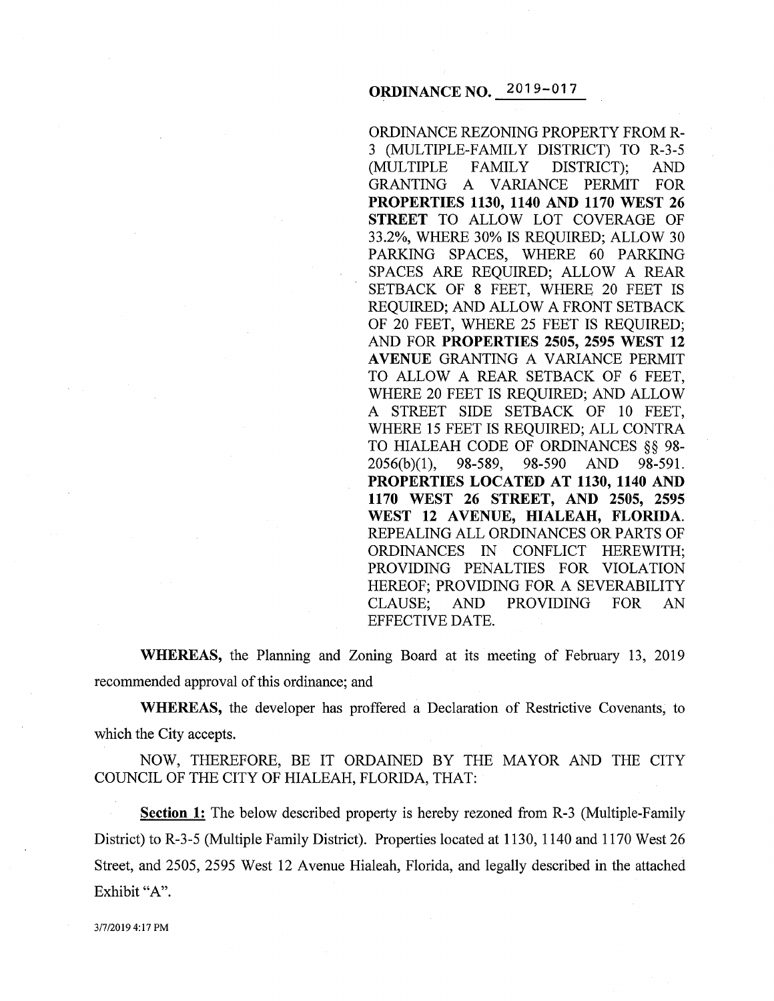# **ORDINANCE NO.** 2019-017

ORDINANCE REZONING PROPERTY FROM R-3 (MULTIPLE-FAMILY DISTRICT) TO R-3-5 (MULTIPLE FAMILY DISTRICT); AND GRANTING A VARIANCE PERMIT FOR **PROPERTIES 1130, 1140 AND 1170 WEST 26 STREET** TO ALLOW LOT COVERAGE OF 33.2%, WHERE 30% IS REQUIRED; ALLOW 30 PARKING SPACES, WHERE 60 PARKING SPACES ARE REQUIRED; ALLOW A REAR SETBACK OF 8 FEET, WHERE 20 FEET IS REQUIRED; AND ALLOW A FRONT SETBACK OF 20 FEET, WHERE 25 FEET IS REQUIRED; AND FOR **PROPERTIES 2505, 2595 WEST 12 AVENUE** GRANTING A VARIANCE PERMIT TO ALLOW A REAR SETBACK OF 6 FEET, WHERE 20 FEET IS REQUIRED; AND ALLOW A STREET SIDE SETBACK OF 10 FEET, WHERE 15 FEET IS REQUIRED; ALL CONTRA TO HIALEAH CODE OF ORDINANCES §§ 98- 2056(b)(1), 98-589, 98-590 AND 98-591. **PROPERTIES LOCATED AT 1130, 1140 AND 1170 WEST 26 STREET, AND 2505, 2595**  WEST 12 AVENUE, HIALEAH, FLORIDA. REPEALING ALL ORDINANCES OR PARTS OF ORDINANCES IN CONFLICT HEREWITH; PROVIDING PENALTIES FOR VIOLATION HEREOF; PROVIDING FOR A SEVERABILITY CLAUSE; AND PROVIDING FOR AN EFFECTIVE DATE.

**WHEREAS,** the Planning and Zoning Board at its meeting of February 13, 2019 recommended approval of this ordinance; and

**WHEREAS,** the developer has proffered a Declaration of Restrictive Covenants, to which the City accepts.

NOW, THEREFORE, BE IT ORDAINED BY THE MAYOR AND THE CITY COUNCIL OF THE CITY OF HIALEAH, FLORIDA, THAT:

**Section 1:** The below described property is hereby rezoned from R-3 (Multiple-Family District) to R-3-5 (Multiple Family District). Properties located at 1130, 1140 and 1170 West 26 Street, and 2505, 2595 West 12 Avenue Hialeah, Florida, and legally described in the attached Exhibit "A".

3/7/20194:17 PM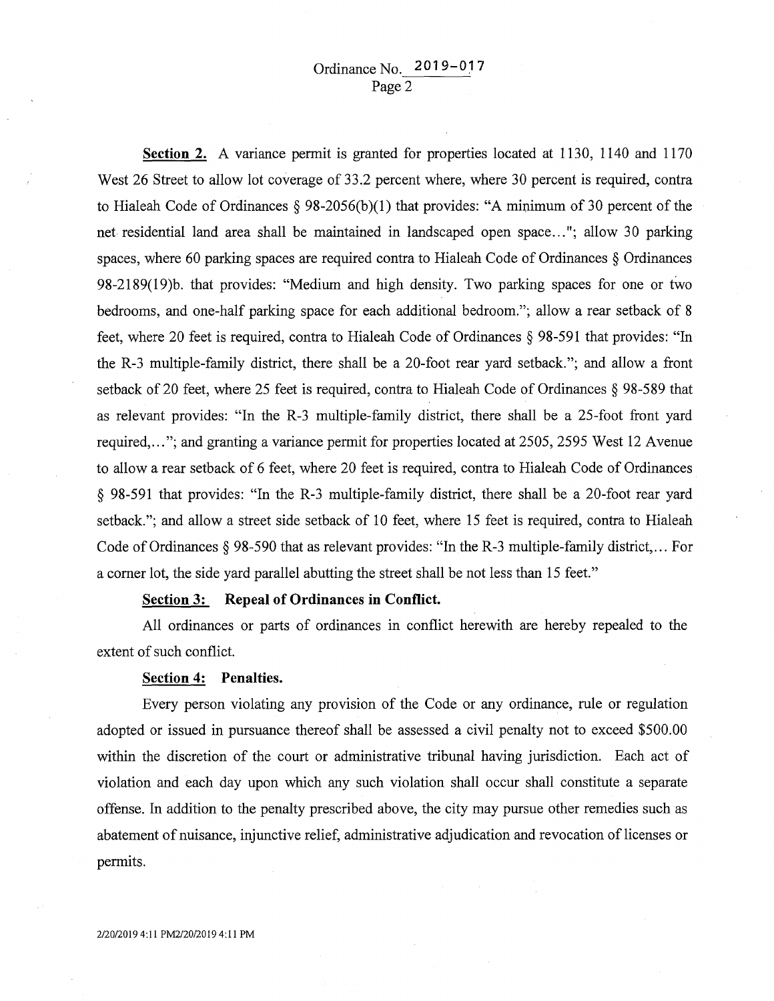**Section 2.** A variance permit is granted for properties located at 1130, 1140 and 1170 West 26 Street to allow lot coverage of 33.2 percent where, where 30 percent is required, contra to Hialeah Code of Ordinances § 98-2056(b)(1) that provides: "A minimum of 30 percent of the net residential land area shall be maintained in landscaped open space ... "; allow 30 parking spaces, where 60 parking spaces are required contra to Hialeah Code of Ordinances § Ordinances 98-2189(19)b. that provides: "Medium and high density. Two parking spaces for one or tWo bedrooms, and one-half parking space for each additional bedroom."; allow a rear setback of 8 feet, where 20 feet is required, contra to Hialeah Code of Ordinances § 98-591 that provides: "In the R-3 multiple-family district, there shall be a 20-foot rear yard setback."; and allow a front setback of 20 feet, where 25 feet is required, contra to Hialeah Code of Ordinances § 98-589 that as relevant provides: "In the R-3 multiple-family district, there shall be a 25-foot front yard required, ... "; and granting a variance permit for properties located at 2505,2595 West 12 Avenue to allow a rear setback of 6 feet, where 20 feet is required, contra to Hialeah Code of Ordinances § 98-591 that provides: "In the R-3 multiple-family district, there shall be a 20-foot rear yard setback."; and allow a street side setback of 10 feet, where 15 feet is required, contra to Hialeah Code of Ordinances§ 98-590 that as relevant provides: "In the R-3 multiple-family district, ... For a comer lot, the side yard parallel abutting the street shall be not less than 15 feet."

### **Section 3: Repeal of Ordinances in Conflict.**

All ordinances or parts of ordinances in conflict herewith are hereby repealed to the extent of such conflict.

## **Section 4: Penalties.**

Every person violating any provision of the Code or any ordinance, rule or regulation adopted or issued in pursuance thereof shall be assessed a civil penalty not to exceed \$500.00 within the discretion of the court or administrative tribunal having jurisdiction. Each act of violation and each day upon which any such violation shall occur shall constitute a separate offense. In addition to the penalty prescribed above, the city may pursue other remedies such as abatement of nuisance, injunctive relief, administrative adjudication and revocation of licenses or permits.